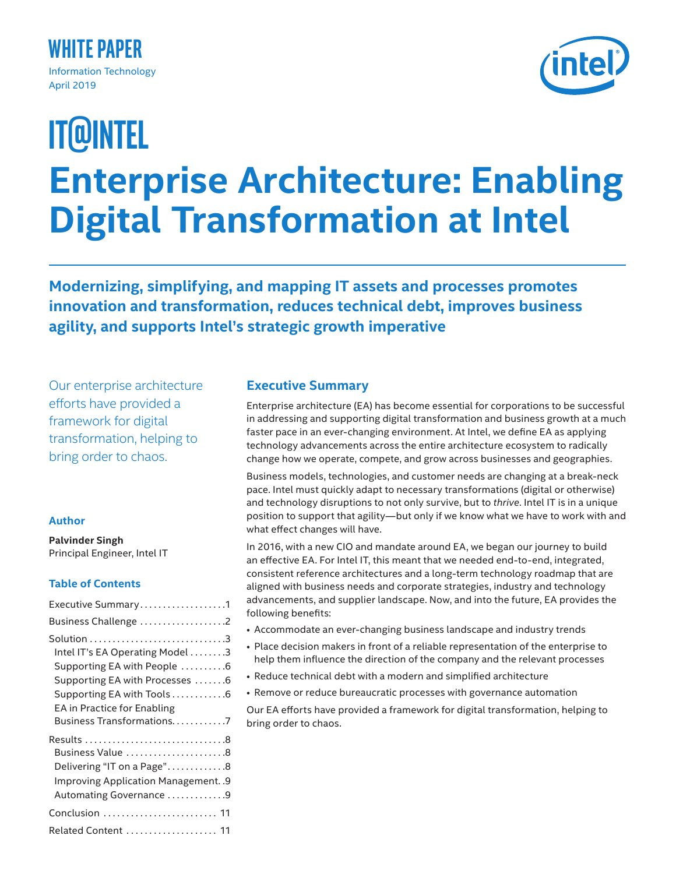## **White Paper** Information Technology April 2019

# **Enterprise Architecture: Enabling Digital Transformation at Intel IT@Intel**

**Modernizing, simplifying, and mapping IT assets and processes promotes innovation and transformation, reduces technical debt, improves business agility, and supports Intel's strategic growth imperative**

Our enterprise architecture efforts have provided a framework for digital transformation, helping to bring order to chaos.

#### **Author**

**Palvinder Singh** Principal Engineer, Intel IT

## **Table of Contents**

| Executive Summary1                                                                                                                                                                                |
|---------------------------------------------------------------------------------------------------------------------------------------------------------------------------------------------------|
| Business Challenge 2                                                                                                                                                                              |
| Intel IT's EA Operating Model 3<br>Supporting EA with People 6<br>Supporting EA with Processes 6<br>Supporting EA with Tools 6<br><b>EA</b> in Practice for Enabling<br>Business Transformations7 |
| Business Value 8<br>Delivering "IT on a Page"8<br>Improving Application Management. . 9<br>Automating Governance 9                                                                                |
| Conclusion  11                                                                                                                                                                                    |
| Related Content  11                                                                                                                                                                               |

## **Executive Summary**

Enterprise architecture (EA) has become essential for corporations to be successful in addressing and supporting digital transformation and business growth at a much faster pace in an ever-changing environment. At Intel, we define EA as applying technology advancements across the entire architecture ecosystem to radically change how we operate, compete, and grow across businesses and geographies.

Business models, technologies, and customer needs are changing at a break-neck pace. Intel must quickly adapt to necessary transformations (digital or otherwise) and technology disruptions to not only survive, but to *thrive*. Intel IT is in a unique position to support that agility—but only if we know what we have to work with and what effect changes will have.

In 2016, with a new CIO and mandate around EA, we began our journey to build an effective EA. For Intel IT, this meant that we needed end-to-end, integrated, consistent reference architectures and a long-term technology roadmap that are aligned with business needs and corporate strategies, industry and technology advancements, and supplier landscape. Now, and into the future, EA provides the following benefits:

- Accommodate an ever-changing business landscape and industry trends
- Place decision makers in front of a reliable representation of the enterprise to help them influence the direction of the company and the relevant processes
- Reduce technical debt with a modern and simplified architecture
- Remove or reduce bureaucratic processes with governance automation

Our EA efforts have provided a framework for digital transformation, helping to bring order to chaos.

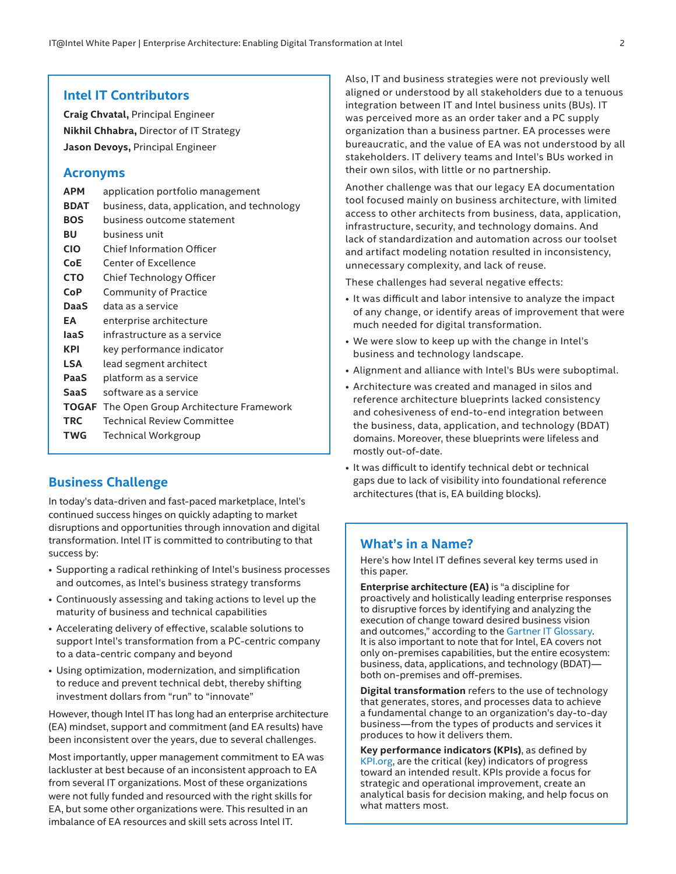#### <span id="page-1-0"></span>**Intel IT Contributors**

**Craig Chvatal,** Principal Engineer **Nikhil Chhabra,** Director of IT Strategy **Jason Devoys,** Principal Engineer

#### **Acronyms**

| <b>APM</b>  | application portfolio management                   |
|-------------|----------------------------------------------------|
| <b>BDAT</b> | business, data, application, and technology        |
| <b>BOS</b>  | business outcome statement                         |
| BU          | business unit                                      |
| <b>CIO</b>  | <b>Chief Information Officer</b>                   |
| <b>CoE</b>  | Center of Excellence                               |
| <b>CTO</b>  | Chief Technology Officer                           |
| CoP         | <b>Community of Practice</b>                       |
| <b>DaaS</b> | data as a service                                  |
| ΕA          | enterprise architecture                            |
| laaS        | infrastructure as a service                        |
| <b>KPI</b>  | key performance indicator                          |
| <b>LSA</b>  | lead segment architect                             |
| PaaS        | platform as a service                              |
| <b>SaaS</b> | software as a service                              |
|             | <b>TOGAF</b> The Open Group Architecture Framework |
| <b>TRC</b>  | <b>Technical Review Committee</b>                  |
| TWG         | Technical Workgroup                                |
|             |                                                    |

## **Business Challenge**

In today's data-driven and fast-paced marketplace, Intel's continued success hinges on quickly adapting to market disruptions and opportunities through innovation and digital transformation. Intel IT is committed to contributing to that success by:

- Supporting a radical rethinking of Intel's business processes and outcomes, as Intel's business strategy transforms
- Continuously assessing and taking actions to level up the maturity of business and technical capabilities
- Accelerating delivery of effective, scalable solutions to support Intel's transformation from a PC-centric company to a data-centric company and beyond
- Using optimization, modernization, and simplification to reduce and prevent technical debt, thereby shifting investment dollars from "run" to "innovate"

However, though Intel IT has long had an enterprise architecture (EA) mindset, support and commitment (and EA results) have been inconsistent over the years, due to several challenges.

Most importantly, upper management commitment to EA was lackluster at best because of an inconsistent approach to EA from several IT organizations. Most of these organizations were not fully funded and resourced with the right skills for EA, but some other organizations were. This resulted in an imbalance of EA resources and skill sets across Intel IT.

Also, IT and business strategies were not previously well aligned or understood by all stakeholders due to a tenuous integration between IT and Intel business units (BUs). IT was perceived more as an order taker and a PC supply organization than a business partner. EA processes were bureaucratic, and the value of EA was not understood by all stakeholders. IT delivery teams and Intel's BUs worked in their own silos, with little or no partnership.

Another challenge was that our legacy EA documentation tool focused mainly on business architecture, with limited access to other architects from business, data, application, infrastructure, security, and technology domains. And lack of standardization and automation across our toolset and artifact modeling notation resulted in inconsistency, unnecessary complexity, and lack of reuse.

These challenges had several negative effects:

- It was difficult and labor intensive to analyze the impact of any change, or identify areas of improvement that were much needed for digital transformation.
- We were slow to keep up with the change in Intel's business and technology landscape.
- Alignment and alliance with Intel's BUs were suboptimal.
- Architecture was created and managed in silos and reference architecture blueprints lacked consistency and cohesiveness of end-to-end integration between the business, data, application, and technology (BDAT) domains. Moreover, these blueprints were lifeless and mostly out-of-date.
- It was difficult to identify technical debt or technical gaps due to lack of visibility into foundational reference architectures (that is, EA building blocks).

## **What's in a Name?**

Here's how Intel IT defines several key terms used in this paper.

**Enterprise architecture (EA)** is "a discipline for proactively and holistically leading enterprise responses to disruptive forces by identifying and analyzing the execution of change toward desired business vision and outcomes," according to the [Gartner IT Glossary](https://www.gartner.com/it-glossary/enterprise-architecture-ea/). It is also important to note that for Intel, EA covers not only on-premises capabilities, but the entire ecosystem: business, data, applications, and technology (BDAT) both on-premises and off-premises.

**Digital transformation** refers to the use of technology that generates, stores, and processes data to achieve a fundamental change to an organization's day-to-day business—from the types of products and services it produces to how it delivers them.

**Key performance indicators (KPIs)**, as defined by [KPI.org,](http://kpi.org) are the critical (key) indicators of progress toward an intended result. KPIs provide a focus for strategic and operational improvement, create an analytical basis for decision making, and help focus on what matters most.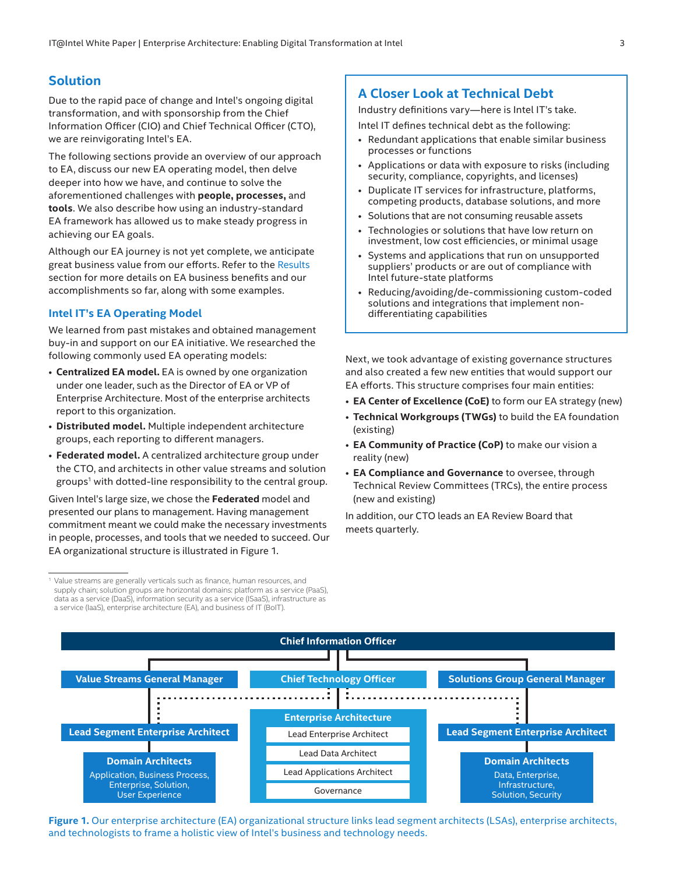## <span id="page-2-0"></span>**Solution**

Due to the rapid pace of change and Intel's ongoing digital transformation, and with sponsorship from the Chief Information Officer (CIO) and Chief Technical Officer (CTO), we are reinvigorating Intel's EA.

The following sections provide an overview of our approach to EA, discuss our new EA operating model, then delve deeper into how we have, and continue to solve the aforementioned challenges with **people, processes,** and **tools**. We also describe how using an industry-standard EA framework has allowed us to make steady progress in achieving our EA goals.

Although our EA journey is not yet complete, we anticipate great business value from our efforts. Refer to the [Results](#page-7-1) section for more details on EA business benefits and our accomplishments so far, along with some examples.

#### **Intel IT's EA Operating Model**

We learned from past mistakes and obtained management buy-in and support on our EA initiative. We researched the following commonly used EA operating models:

- **Centralized EA model.** EA is owned by one organization under one leader, such as the Director of EA or VP of Enterprise Architecture. Most of the enterprise architects report to this organization.
- **Distributed model.** Multiple independent architecture groups, each reporting to different managers.
- **Federated model.** A centralized architecture group under the CTO, and architects in other value streams and solution groups<sup>1</sup> with dotted-line responsibility to the central group.

Given Intel's large size, we chose the **Federated** model and presented our plans to management. Having management commitment meant we could make the necessary investments in people, processes, and tools that we needed to succeed. Our EA organizational structure is illustrated in Figure 1.

## **A Closer Look at Technical Debt**

Industry definitions vary—here is Intel IT's take.

Intel IT defines technical debt as the following:

- Redundant applications that enable similar business processes or functions
- Applications or data with exposure to risks (including security, compliance, copyrights, and licenses)
- Duplicate IT services for infrastructure, platforms, competing products, database solutions, and more
- Solutions that are not consuming reusable assets
- Technologies or solutions that have low return on investment, low cost efficiencies, or minimal usage
- Systems and applications that run on unsupported suppliers' products or are out of compliance with Intel future-state platforms
- Reducing/avoiding/de-commissioning custom-coded solutions and integrations that implement nondifferentiating capabilities

Next, we took advantage of existing governance structures and also created a few new entities that would support our EA efforts. This structure comprises four main entities:

- **EA Center of Excellence (CoE)** to form our EA strategy (new)
- **Technical Workgroups (TWGs)** to build the EA foundation (existing)
- **EA Community of Practice (CoP)** to make our vision a reality (new)
- **EA Compliance and Governance** to oversee, through Technical Review Committees (TRCs), the entire process (new and existing)

In addition, our CTO leads an EA Review Board that meets quarterly.



**Figure 1.** Our enterprise architecture (EA) organizational structure links lead segment architects (LSAs), enterprise architects, and technologists to frame a holistic view of Intel's business and technology needs.

<sup>&</sup>lt;sup>1</sup> Value streams are generally verticals such as finance, human resources, and supply chain; solution groups are horizontal domains: platform as a service (PaaS), data as a service (DaaS), information security as a service (ISaaS), infrastructure as a service (IaaS), enterprise architecture (EA), and business of IT (BoIT).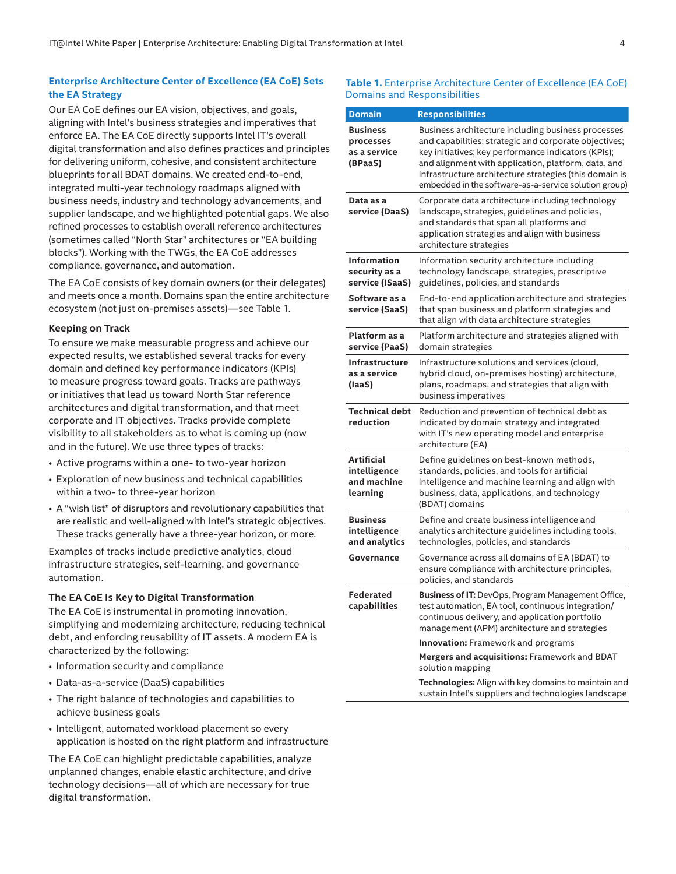## **Enterprise Architecture Center of Excellence (EA CoE) Sets the EA Strategy**

Our EA CoE defines our EA vision, objectives, and goals, aligning with Intel's business strategies and imperatives that enforce EA. The EA CoE directly supports Intel IT's overall digital transformation and also defines practices and principles for delivering uniform, cohesive, and consistent architecture blueprints for all BDAT domains. We created end-to-end, integrated multi-year technology roadmaps aligned with business needs, industry and technology advancements, and supplier landscape, and we highlighted potential gaps. We also refined processes to establish overall reference architectures (sometimes called "North Star" architectures or "EA building blocks"). Working with the TWGs, the EA CoE addresses compliance, governance, and automation.

The EA CoE consists of key domain owners (or their delegates) and meets once a month. Domains span the entire architecture ecosystem (not just on-premises assets)—see Table 1.

#### **Keeping on Track**

To ensure we make measurable progress and achieve our expected results, we established several tracks for every domain and defined key performance indicators (KPIs) to measure progress toward goals. Tracks are pathways or initiatives that lead us toward North Star reference architectures and digital transformation, and that meet corporate and IT objectives. Tracks provide complete visibility to all stakeholders as to what is coming up (now and in the future). We use three types of tracks:

- Active programs within a one- to two-year horizon
- Exploration of new business and technical capabilities within a two- to three-year horizon
- A "wish list" of disruptors and revolutionary capabilities that are realistic and well-aligned with Intel's strategic objectives. These tracks generally have a three-year horizon, or more.

Examples of tracks include predictive analytics, cloud infrastructure strategies, self-learning, and governance automation.

#### **The EA CoE Is Key to Digital Transformation**

The EA CoE is instrumental in promoting innovation, simplifying and modernizing architecture, reducing technical debt, and enforcing reusability of IT assets. A modern EA is characterized by the following:

- Information security and compliance
- Data-as-a-service (DaaS) capabilities
- The right balance of technologies and capabilities to achieve business goals
- Intelligent, automated workload placement so every application is hosted on the right platform and infrastructure

The EA CoE can highlight predictable capabilities, analyze unplanned changes, enable elastic architecture, and drive technology decisions—all of which are necessary for true digital transformation.

#### **Table 1.** Enterprise Architecture Center of Excellence (EA CoE) Domains and Responsibilities

| <b>Domain</b>                                           | <b>Responsibilities</b>                                                                                                                                                                                                                                                                                                                      |  |
|---------------------------------------------------------|----------------------------------------------------------------------------------------------------------------------------------------------------------------------------------------------------------------------------------------------------------------------------------------------------------------------------------------------|--|
| <b>Business</b><br>processes<br>as a service<br>(BPaaS) | Business architecture including business processes<br>and capabilities; strategic and corporate objectives;<br>key initiatives; key performance indicators (KPIs);<br>and alignment with application, platform, data, and<br>infrastructure architecture strategies (this domain is<br>embedded in the software-as-a-service solution group) |  |
| Data as a<br>service (DaaS)                             | Corporate data architecture including technology<br>landscape, strategies, guidelines and policies,<br>and standards that span all platforms and<br>application strategies and align with business<br>architecture strategies                                                                                                                |  |
| <b>Information</b><br>security as a<br>service (ISaaS)  | Information security architecture including<br>technology landscape, strategies, prescriptive<br>guidelines, policies, and standards                                                                                                                                                                                                         |  |
| Software as a<br>service (SaaS)                         | End-to-end application architecture and strategies<br>that span business and platform strategies and<br>that align with data architecture strategies                                                                                                                                                                                         |  |
| Platform as a<br>service (PaaS)                         | Platform architecture and strategies aligned with<br>domain strategies                                                                                                                                                                                                                                                                       |  |
| Infrastructure<br>as a service<br>(laaS)                | Infrastructure solutions and services (cloud,<br>hybrid cloud, on-premises hosting) architecture,<br>plans, roadmaps, and strategies that align with<br>business imperatives                                                                                                                                                                 |  |
| <b>Technical debt</b><br>reduction                      | Reduction and prevention of technical debt as<br>indicated by domain strategy and integrated<br>with IT's new operating model and enterprise<br>architecture (EA)                                                                                                                                                                            |  |
| Artificial<br>intelligence<br>and machine<br>learning   | Define guidelines on best-known methods,<br>standards, policies, and tools for artificial<br>intelligence and machine learning and align with<br>business, data, applications, and technology<br>(BDAT) domains                                                                                                                              |  |
| <b>Business</b><br>intelligence<br>and analytics        | Define and create business intelligence and<br>analytics architecture guidelines including tools,<br>technologies, policies, and standards                                                                                                                                                                                                   |  |
| Governance                                              | Governance across all domains of EA (BDAT) to<br>ensure compliance with architecture principles,<br>policies, and standards                                                                                                                                                                                                                  |  |
| <b>Federated</b><br>capabilities                        | Business of IT: DevOps, Program Management Office,<br>test automation, EA tool, continuous integration/<br>continuous delivery, and application portfolio<br>management (APM) architecture and strategies                                                                                                                                    |  |
|                                                         | <b>Innovation:</b> Framework and programs                                                                                                                                                                                                                                                                                                    |  |
|                                                         | Mergers and acquisitions: Framework and BDAT<br>solution mapping                                                                                                                                                                                                                                                                             |  |
|                                                         | Technologies: Align with key domains to maintain and<br>sustain Intel's suppliers and technologies landscape                                                                                                                                                                                                                                 |  |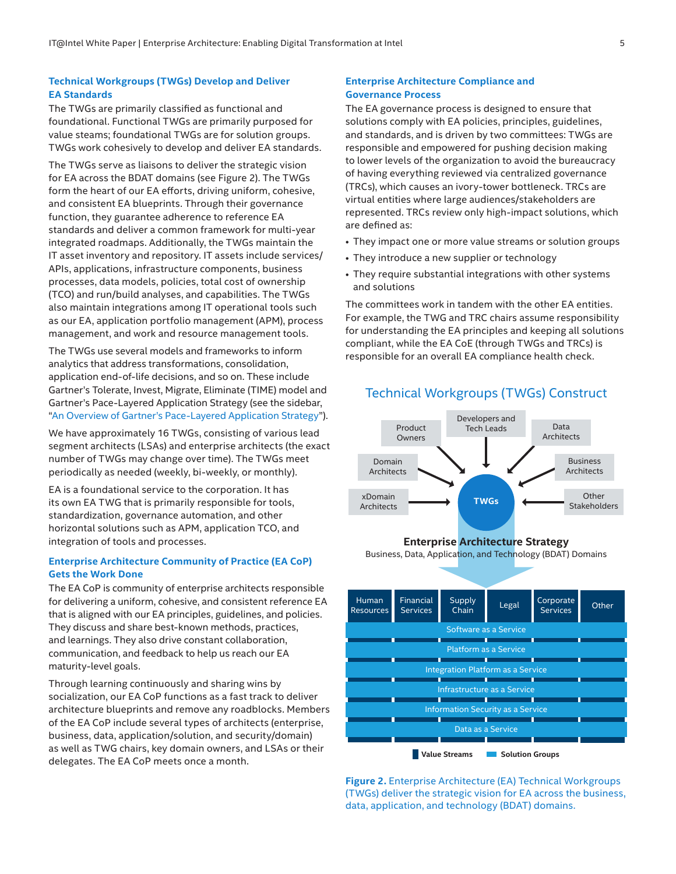### **Technical Workgroups (TWGs) Develop and Deliver EA Standards**

The TWGs are primarily classified as functional and foundational. Functional TWGs are primarily purposed for value steams; foundational TWGs are for solution groups. TWGs work cohesively to develop and deliver EA standards.

The TWGs serve as liaisons to deliver the strategic vision for EA across the BDAT domains (see Figure 2). The TWGs form the heart of our EA efforts, driving uniform, cohesive, and consistent EA blueprints. Through their governance function, they guarantee adherence to reference EA standards and deliver a common framework for multi-year integrated roadmaps. Additionally, the TWGs maintain the IT asset inventory and repository. IT assets include services/ APIs, applications, infrastructure components, business processes, data models, policies, total cost of ownership (TCO) and run/build analyses, and capabilities. The TWGs also maintain integrations among IT operational tools such as our EA, application portfolio management (APM), process management, and work and resource management tools.

The TWGs use several models and frameworks to inform analytics that address transformations, consolidation, application end-of-life decisions, and so on. These include Gartner's Tolerate, Invest, Migrate, Eliminate (TIME) model and Gartner's Pace-Layered Application Strategy (see the sidebar, ["An Overview of Gartner's Pace-Layered Application Strategy"](#page-9-0)).

We have approximately 16 TWGs, consisting of various lead segment architects (LSAs) and enterprise architects (the exact number of TWGs may change over time). The TWGs meet periodically as needed (weekly, bi-weekly, or monthly).

EA is a foundational service to the corporation. It has its own EA TWG that is primarily responsible for tools, standardization, governance automation, and other horizontal solutions such as APM, application TCO, and integration of tools and processes.

#### **Enterprise Architecture Community of Practice (EA CoP) Gets the Work Done**

The EA CoP is community of enterprise architects responsible for delivering a uniform, cohesive, and consistent reference EA that is aligned with our EA principles, guidelines, and policies. They discuss and share best-known methods, practices, and learnings. They also drive constant collaboration, communication, and feedback to help us reach our EA maturity-level goals.

Through learning continuously and sharing wins by socialization, our EA CoP functions as a fast track to deliver architecture blueprints and remove any roadblocks. Members of the EA CoP include several types of architects (enterprise, business, data, application/solution, and security/domain) as well as TWG chairs, key domain owners, and LSAs or their delegates. The EA CoP meets once a month.

#### **Enterprise Architecture Compliance and Governance Process**

The EA governance process is designed to ensure that solutions comply with EA policies, principles, guidelines, and standards, and is driven by two committees: TWGs are responsible and empowered for pushing decision making to lower levels of the organization to avoid the bureaucracy of having everything reviewed via centralized governance (TRCs), which causes an ivory-tower bottleneck. TRCs are virtual entities where large audiences/stakeholders are represented. TRCs review only high-impact solutions, which are defined as:

- They impact one or more value streams or solution groups
- They introduce a new supplier or technology
- They require substantial integrations with other systems and solutions

The committees work in tandem with the other EA entities. For example, the TWG and TRC chairs assume responsibility for understanding the EA principles and keeping all solutions compliant, while the EA CoE (through TWGs and TRCs) is responsible for an overall EA compliance health check.

## Technical Workgroups (TWGs) Construct



#### **Enterprise Architecture Strategy**

Business, Data, Application, and Technology (BDAT) Domains



**Figure 2.** Enterprise Architecture (EA) Technical Workgroups (TWGs) deliver the strategic vision for EA across the business, data, application, and technology (BDAT) domains.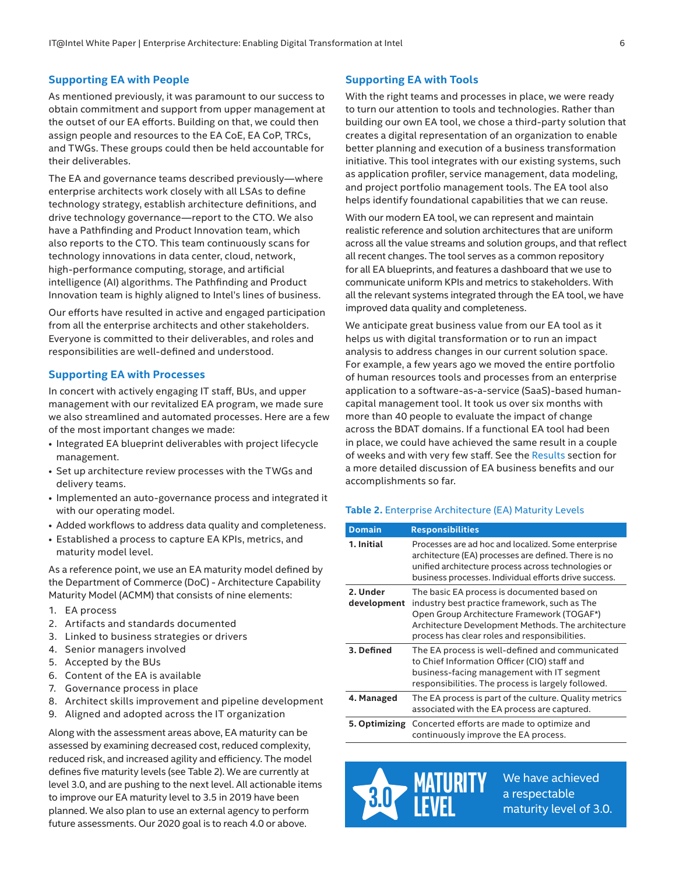#### <span id="page-5-0"></span>**Supporting EA with People**

As mentioned previously, it was paramount to our success to obtain commitment and support from upper management at the outset of our EA efforts. Building on that, we could then assign people and resources to the EA CoE, EA CoP, TRCs, and TWGs. These groups could then be held accountable for their deliverables.

The EA and governance teams described previously—where enterprise architects work closely with all LSAs to define technology strategy, establish architecture definitions, and drive technology governance—report to the CTO. We also have a Pathfinding and Product Innovation team, which also reports to the CTO. This team continuously scans for technology innovations in data center, cloud, network, high-performance computing, storage, and artificial intelligence (AI) algorithms. The Pathfinding and Product Innovation team is highly aligned to Intel's lines of business.

Our efforts have resulted in active and engaged participation from all the enterprise architects and other stakeholders. Everyone is committed to their deliverables, and roles and responsibilities are well-defined and understood.

#### **Supporting EA with Processes**

In concert with actively engaging IT staff, BUs, and upper management with our revitalized EA program, we made sure we also streamlined and automated processes. Here are a few of the most important changes we made:

- Integrated EA blueprint deliverables with project lifecycle management.
- Set up architecture review processes with the TWGs and delivery teams.
- Implemented an auto-governance process and integrated it with our operating model.
- Added workflows to address data quality and completeness.
- Established a process to capture EA KPIs, metrics, and maturity model level.

As a reference point, we use an EA maturity model defined by the Department of Commerce (DoC) - Architecture Capability Maturity Model (ACMM) that consists of nine elements:

- 1. EA process
- 2. Artifacts and standards documented
- 3. Linked to business strategies or drivers
- 4. Senior managers involved
- 5. Accepted by the BUs
- 6. Content of the EA is available
- 7. Governance process in place
- 8. Architect skills improvement and pipeline development
- 9. Aligned and adopted across the IT organization

Along with the assessment areas above, EA maturity can be assessed by examining decreased cost, reduced complexity, reduced risk, and increased agility and efficiency. The model defines five maturity levels (see Table 2). We are currently at level 3.0, and are pushing to the next level. All actionable items to improve our EA maturity level to 3.5 in 2019 have been planned. We also plan to use an external agency to perform future assessments. Our 2020 goal is to reach 4.0 or above.

#### **Supporting EA with Tools**

With the right teams and processes in place, we were ready to turn our attention to tools and technologies. Rather than building our own EA tool, we chose a third-party solution that creates a digital representation of an organization to enable better planning and execution of a business transformation initiative. This tool integrates with our existing systems, such as application profiler, service management, data modeling, and project portfolio management tools. The EA tool also helps identify foundational capabilities that we can reuse.

With our modern EA tool, we can represent and maintain realistic reference and solution architectures that are uniform across all the value streams and solution groups, and that reflect all recent changes. The tool serves as a common repository for all EA blueprints, and features a dashboard that we use to communicate uniform KPIs and metrics to stakeholders. With all the relevant systems integrated through the EA tool, we have improved data quality and completeness.

We anticipate great business value from our EA tool as it helps us with digital transformation or to run an impact analysis to address changes in our current solution space. For example, a few years ago we moved the entire portfolio of human resources tools and processes from an enterprise application to a software-as-a-service (SaaS)-based humancapital management tool. It took us over six months with more than 40 people to evaluate the impact of change across the BDAT domains. If a functional EA tool had been in place, we could have achieved the same result in a couple of weeks and with very few staff. See the [Results](#page-7-1) section for a more detailed discussion of EA business benefits and our accomplishments so far.

#### **Table 2.** Enterprise Architecture (EA) Maturity Levels

| <b>Domain</b>           | <b>Responsibilities</b>                                                                                                                                                                                                                           |
|-------------------------|---------------------------------------------------------------------------------------------------------------------------------------------------------------------------------------------------------------------------------------------------|
| 1. Initial              | Processes are ad hoc and localized. Some enterprise<br>architecture (EA) processes are defined. There is no<br>unified architecture process across technologies or<br>business processes. Individual efforts drive success.                       |
| 2. Under<br>development | The basic EA process is documented based on<br>industry best practice framework, such as The<br>Open Group Architecture Framework (TOGAF*)<br>Architecture Development Methods. The architecture<br>process has clear roles and responsibilities. |
| 3. Defined              | The EA process is well-defined and communicated<br>to Chief Information Officer (CIO) staff and<br>business-facing management with IT segment<br>responsibilities. The process is largely followed.                                               |
| 4. Managed              | The EA process is part of the culture. Quality metrics<br>associated with the EA process are captured.                                                                                                                                            |
| 5. Optimizing           | Concerted efforts are made to optimize and<br>continuously improve the EA process.                                                                                                                                                                |



We have achieved a respectable maturity level of 3.0.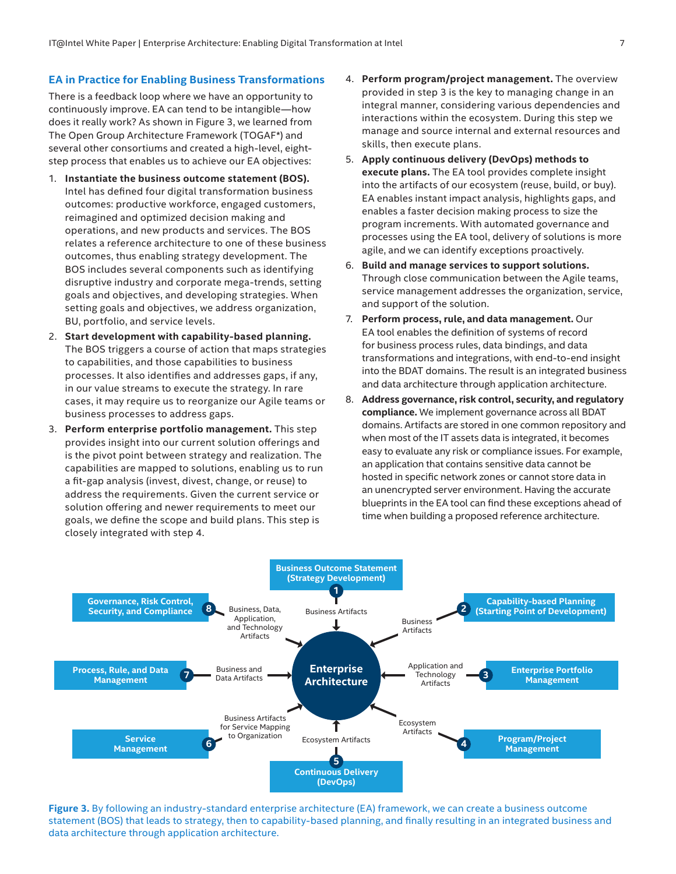#### <span id="page-6-0"></span>**EA in Practice for Enabling Business Transformations**

There is a feedback loop where we have an opportunity to continuously improve. EA can tend to be intangible—how does it really work? As shown in Figure 3, we learned from The Open Group Architecture Framework (TOGAF\*) and several other consortiums and created a high-level, eightstep process that enables us to achieve our EA objectives:

- 1. **Instantiate the business outcome statement (BOS).** Intel has defined four digital transformation business outcomes: productive workforce, engaged customers, reimagined and optimized decision making and operations, and new products and services. The BOS relates a reference architecture to one of these business outcomes, thus enabling strategy development. The BOS includes several components such as identifying disruptive industry and corporate mega-trends, setting goals and objectives, and developing strategies. When setting goals and objectives, we address organization, BU, portfolio, and service levels.
- 2. **Start development with capability-based planning.** The BOS triggers a course of action that maps strategies to capabilities, and those capabilities to business processes. It also identifies and addresses gaps, if any, in our value streams to execute the strategy. In rare cases, it may require us to reorganize our Agile teams or business processes to address gaps.
- 3. **Perform enterprise portfolio management.** This step provides insight into our current solution offerings and is the pivot point between strategy and realization. The capabilities are mapped to solutions, enabling us to run a fit-gap analysis (invest, divest, change, or reuse) to address the requirements. Given the current service or solution offering and newer requirements to meet our goals, we define the scope and build plans. This step is closely integrated with step 4.
- 4. **Perform program/project management.** The overview provided in step 3 is the key to managing change in an integral manner, considering various dependencies and interactions within the ecosystem. During this step we manage and source internal and external resources and skills, then execute plans.
- 5. **Apply continuous delivery (DevOps) methods to execute plans.** The EA tool provides complete insight into the artifacts of our ecosystem (reuse, build, or buy). EA enables instant impact analysis, highlights gaps, and enables a faster decision making process to size the program increments. With automated governance and processes using the EA tool, delivery of solutions is more agile, and we can identify exceptions proactively.
- 6. **Build and manage services to support solutions.** Through close communication between the Agile teams, service management addresses the organization, service, and support of the solution.
- 7. **Perform process, rule, and data management.** Our EA tool enables the definition of systems of record for business process rules, data bindings, and data transformations and integrations, with end-to-end insight into the BDAT domains. The result is an integrated business and data architecture through application architecture.
- 8. **Address governance, risk control, security, and regulatory compliance.** We implement governance across all BDAT domains. Artifacts are stored in one common repository and when most of the IT assets data is integrated, it becomes easy to evaluate any risk or compliance issues. For example, an application that contains sensitive data cannot be hosted in specific network zones or cannot store data in an unencrypted server environment. Having the accurate blueprints in the EA tool can find these exceptions ahead of time when building a proposed reference architecture.



**Figure 3.** By following an industry-standard enterprise architecture (EA) framework, we can create a business outcome statement (BOS) that leads to strategy, then to capability-based planning, and finally resulting in an integrated business and data architecture through application architecture.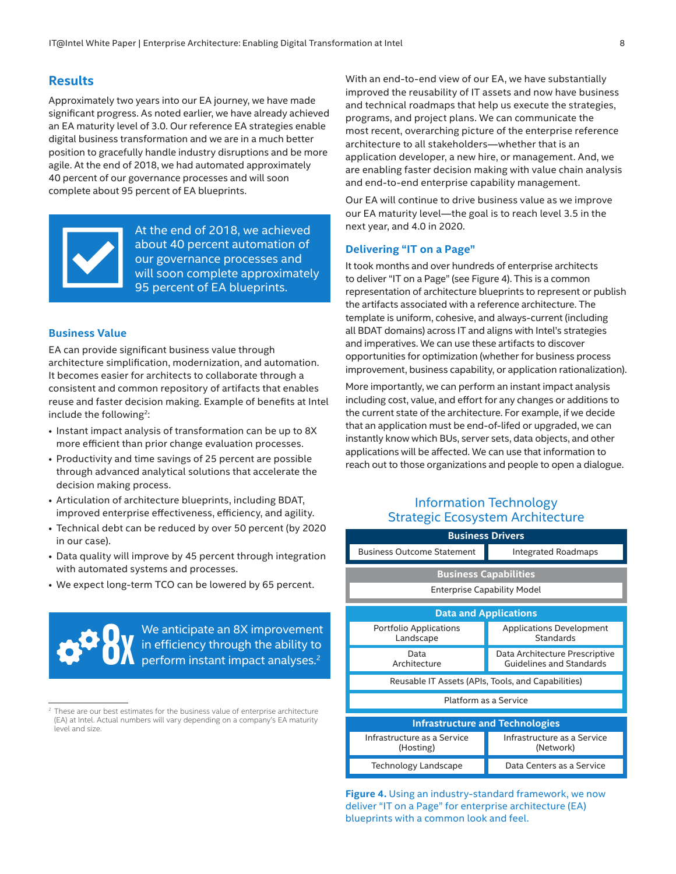#### <span id="page-7-1"></span><span id="page-7-0"></span>**Results**

Approximately two years into our EA journey, we have made significant progress. As noted earlier, we have already achieved an EA maturity level of 3.0. Our reference EA strategies enable digital business transformation and we are in a much better position to gracefully handle industry disruptions and be more agile. At the end of 2018, we had automated approximately 40 percent of our governance processes and will soon complete about 95 percent of EA blueprints.



At the end of 2018, we achieved about 40 percent automation of our governance processes and will soon complete approximately 95 percent of EA blueprints.

#### **Business Value**

EA can provide significant business value through architecture simplification, modernization, and automation. It becomes easier for architects to collaborate through a consistent and common repository of artifacts that enables reuse and faster decision making. Example of benefits at Intel include the following<sup>2</sup>:

- Instant impact analysis of transformation can be up to 8X more efficient than prior change evaluation processes.
- Productivity and time savings of 25 percent are possible through advanced analytical solutions that accelerate the decision making process.
- Articulation of architecture blueprints, including BDAT, improved enterprise effectiveness, efficiency, and agility.
- Technical debt can be reduced by over 50 percent (by 2020 in our case).
- Data quality will improve by 45 percent through integration with automated systems and processes.
- We expect long-term TCO can be lowered by 65 percent.

We anticipate an 8X improvement in efficiency through the ability to **Perform instant impact analyses.**<sup>2</sup> in efficiency through the ability to perform instant impact analyses.<sup>2</sup>

With an end-to-end view of our EA, we have substantially improved the reusability of IT assets and now have business and technical roadmaps that help us execute the strategies, programs, and project plans. We can communicate the most recent, overarching picture of the enterprise reference architecture to all stakeholders—whether that is an application developer, a new hire, or management. And, we are enabling faster decision making with value chain analysis and end-to-end enterprise capability management.

Our EA will continue to drive business value as we improve our EA maturity level—the goal is to reach level 3.5 in the next year, and 4.0 in 2020.

#### **Delivering "IT on a Page"**

It took months and over hundreds of enterprise architects to deliver "IT on a Page" (see Figure 4). This is a common representation of architecture blueprints to represent or publish the artifacts associated with a reference architecture. The template is uniform, cohesive, and always-current (including all BDAT domains) across IT and aligns with Intel's strategies and imperatives. We can use these artifacts to discover opportunities for optimization (whether for business process improvement, business capability, or application rationalization).

More importantly, we can perform an instant impact analysis including cost, value, and effort for any changes or additions to the current state of the architecture. For example, if we decide that an application must be end-of-lifed or upgraded, we can instantly know which BUs, server sets, data objects, and other applications will be affected. We can use that information to reach out to those organizations and people to open a dialogue.

## Information Technology Strategic Ecosystem Architecture

| <b>Business Drivers</b>                            |                                                                   |  |  |  |
|----------------------------------------------------|-------------------------------------------------------------------|--|--|--|
| <b>Business Outcome Statement</b>                  | Integrated Roadmaps                                               |  |  |  |
|                                                    |                                                                   |  |  |  |
| <b>Business Capabilities</b>                       |                                                                   |  |  |  |
| <b>Enterprise Capability Model</b>                 |                                                                   |  |  |  |
|                                                    |                                                                   |  |  |  |
| <b>Data and Applications</b>                       |                                                                   |  |  |  |
| Portfolio Applications<br>Landscape                | <b>Applications Development</b><br><b>Standards</b>               |  |  |  |
| Data<br>Architecture                               | Data Architecture Prescriptive<br><b>Guidelines and Standards</b> |  |  |  |
| Reusable IT Assets (APIs, Tools, and Capabilities) |                                                                   |  |  |  |
| Platform as a Service                              |                                                                   |  |  |  |
| <b>Infrastructure and Technologies</b>             |                                                                   |  |  |  |
| Infrastructure as a Service<br>(Hosting)           | Infrastructure as a Service<br>(Network)                          |  |  |  |
| Technology Landscape                               | Data Centers as a Service                                         |  |  |  |

**Figure 4.** Using an industry-standard framework, we now deliver "IT on a Page" for enterprise architecture (EA) blueprints with a common look and feel.

These are our best estimates for the business value of enterprise architecture (EA) at Intel. Actual numbers will vary depending on a company's EA maturity level and size.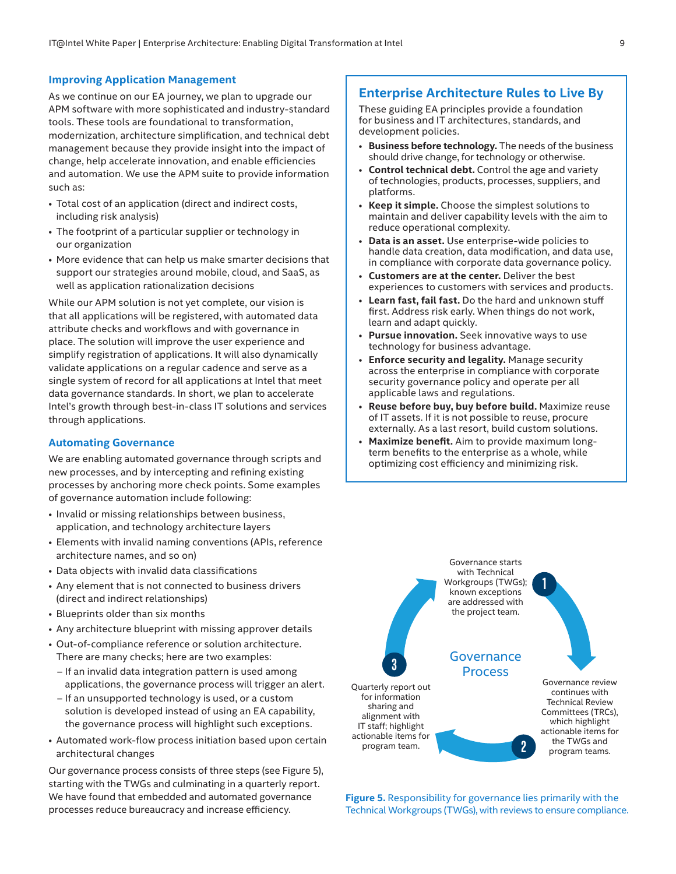#### <span id="page-8-0"></span>**Improving Application Management**

As we continue on our EA journey, we plan to upgrade our APM software with more sophisticated and industry-standard tools. These tools are foundational to transformation, modernization, architecture simplification, and technical debt management because they provide insight into the impact of change, help accelerate innovation, and enable efficiencies and automation. We use the APM suite to provide information such as:

- Total cost of an application (direct and indirect costs, including risk analysis)
- The footprint of a particular supplier or technology in our organization
- More evidence that can help us make smarter decisions that support our strategies around mobile, cloud, and SaaS, as well as application rationalization decisions

While our APM solution is not yet complete, our vision is that all applications will be registered, with automated data attribute checks and workflows and with governance in place. The solution will improve the user experience and simplify registration of applications. It will also dynamically validate applications on a regular cadence and serve as a single system of record for all applications at Intel that meet data governance standards. In short, we plan to accelerate Intel's growth through best-in-class IT solutions and services through applications.

#### **Automating Governance**

We are enabling automated governance through scripts and new processes, and by intercepting and refining existing processes by anchoring more check points. Some examples of governance automation include following:

- Invalid or missing relationships between business, application, and technology architecture layers
- Elements with invalid naming conventions (APIs, reference architecture names, and so on)
- Data objects with invalid data classifications
- Any element that is not connected to business drivers (direct and indirect relationships)
- Blueprints older than six months
- Any architecture blueprint with missing approver details
- Out-of-compliance reference or solution architecture. There are many checks; here are two examples:
	- If an invalid data integration pattern is used among applications, the governance process will trigger an alert.
	- If an unsupported technology is used, or a custom solution is developed instead of using an EA capability, the governance process will highlight such exceptions.
- Automated work-flow process initiation based upon certain architectural changes

Our governance process consists of three steps (see Figure 5), starting with the TWGs and culminating in a quarterly report. We have found that embedded and automated governance processes reduce bureaucracy and increase efficiency.

#### <span id="page-8-1"></span>**Enterprise Architecture Rules to Live By**

These guiding EA principles provide a foundation for business and IT architectures, standards, and development policies.

- **Business before technology.** The needs of the business should drive change, for technology or otherwise.
- **Control technical debt.** Control the age and variety of technologies, products, processes, suppliers, and platforms.
- **Keep it simple.** Choose the simplest solutions to maintain and deliver capability levels with the aim to reduce operational complexity.
- **Data is an asset.** Use enterprise-wide policies to handle data creation, data modification, and data use, in compliance with corporate data governance policy.
- **Customers are at the center.** Deliver the best experiences to customers with services and products.
- **Learn fast, fail fast.** Do the hard and unknown stuff first. Address risk early. When things do not work, learn and adapt quickly.
- Pursue innovation. Seek innovative ways to use technology for business advantage.
- **Enforce security and legality.** Manage security across the enterprise in compliance with corporate security governance policy and operate per all applicable laws and regulations.
- **Reuse before buy, buy before build.** Maximize reuse of IT assets. If it is not possible to reuse, procure externally. As a last resort, build custom solutions.
- **Maximize benefit.** Aim to provide maximum longterm benefits to the enterprise as a whole, while optimizing cost efficiency and minimizing risk.



**Figure 5.** Responsibility for governance lies primarily with the Technical Workgroups (TWGs), with reviews to ensure compliance.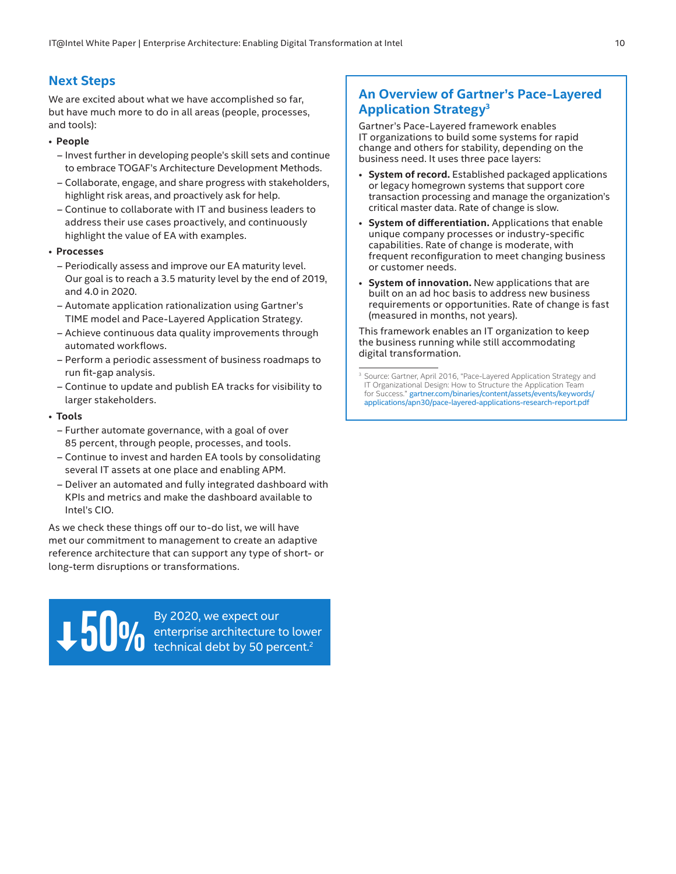## **Next Steps**

We are excited about what we have accomplished so far, but have much more to do in all areas (people, processes, and tools):

#### • **People**

- Invest further in developing people's skill sets and continue to embrace TOGAF's Architecture Development Methods.
- Collaborate, engage, and share progress with stakeholders, highlight risk areas, and proactively ask for help.
- Continue to collaborate with IT and business leaders to address their use cases proactively, and continuously highlight the value of EA with examples.

#### • **Processes**

- Periodically assess and improve our EA maturity level. Our goal is to reach a 3.5 maturity level by the end of 2019, and 4.0 in 2020.
- Automate application rationalization using Gartner's TIME model and Pace-Layered Application Strategy.
- Achieve continuous data quality improvements through automated workflows.
- Perform a periodic assessment of business roadmaps to run fit-gap analysis.
- Continue to update and publish EA tracks for visibility to larger stakeholders.

#### • **Tools**

- Further automate governance, with a goal of over 85 percent, through people, processes, and tools.
- Continue to invest and harden EA tools by consolidating several IT assets at one place and enabling APM.
- Deliver an automated and fully integrated dashboard with KPIs and metrics and make the dashboard available to Intel's CIO.

As we check these things off our to-do list, we will have met our commitment to management to create an adaptive reference architecture that can support any type of short- or long-term disruptions or transformations.

> By 2020, we expect our enterprise architecture to lower **50 DM** By 2020, we expect our enterprise architecture to lower technical debt by 50 percent.<sup>2</sup>

## <span id="page-9-0"></span>**An Overview of Gartner's Pace-Layered Application Strategy3**

Gartner's Pace-Layered framework enables IT organizations to build some systems for rapid change and others for stability, depending on the business need. It uses three pace layers:

- **System of record.** Established packaged applications or legacy homegrown systems that support core transaction processing and manage the organization's critical master data. Rate of change is slow.
- **System of differentiation.** Applications that enable unique company processes or industry-specific capabilities. Rate of change is moderate, with frequent reconfiguration to meet changing business or customer needs.
- **System of innovation.** New applications that are built on an ad hoc basis to address new business requirements or opportunities. Rate of change is fast (measured in months, not years).

This framework enables an IT organization to keep the business running while still accommodating digital transformation.

<sup>&</sup>lt;sup>3</sup> Source: Gartner, April 2016, "Pace-Layered Application Strategy and IT Organizational Design: How to Structure the Application Team for Success." [gartner.com/binaries/content/assets/events/keywords/](https://www.gartner.com/binaries/content/assets/events/keywords/applications/apn30/pace-layered-applications-research-report.pdf) [applications/apn30/pace-layered-applications-research-report.pdf](https://www.gartner.com/binaries/content/assets/events/keywords/applications/apn30/pace-layered-applications-research-report.pdf)